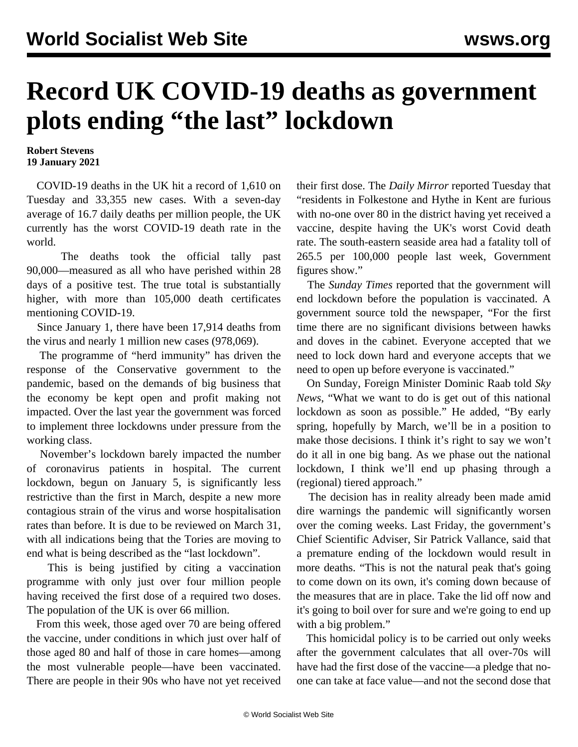## **Record UK COVID-19 deaths as government plots ending "the last" lockdown**

## **Robert Stevens 19 January 2021**

 COVID-19 deaths in the UK hit a record of 1,610 on Tuesday and 33,355 new cases. With a seven-day average of 16.7 daily deaths per million people, the UK currently has the worst COVID-19 death rate in the world.

 The deaths took the official tally past 90,000—measured as all who have perished within 28 days of a positive test. The true total is substantially higher, with more than 105,000 death certificates mentioning COVID-19.

 Since January 1, there have been 17,914 deaths from the virus and nearly 1 million new cases (978,069).

 The programme of "herd immunity" has driven the response of the Conservative government to the pandemic, based on the demands of big business that the economy be kept open and profit making not impacted. Over the last year the government was forced to implement three lockdowns under pressure from the working class.

 November's lockdown barely impacted the number of coronavirus patients in hospital. The current lockdown, begun on January 5, is significantly less restrictive than the first in March, despite a new more contagious strain of the virus and worse hospitalisation rates than before. It is due to be reviewed on March 31, with all indications being that the Tories are moving to end what is being described as the "last lockdown".

 This is being justified by citing a vaccination programme with only just over four million people having received the first dose of a required two doses. The population of the UK is over 66 million.

 From this week, those aged over 70 are being offered the vaccine, under conditions in which just over half of those aged 80 and half of those in care homes—among the most vulnerable people—have been vaccinated. There are people in their 90s who have not yet received their first dose. The *Daily Mirror* reported Tuesday that "residents in Folkestone and Hythe in Kent are furious with no-one over 80 in the district having yet received a vaccine, despite having the UK's worst Covid death rate. The south-eastern seaside area had a fatality toll of 265.5 per 100,000 people last week, Government figures show."

 The *Sunday Times* reported that the government will end lockdown before the population is vaccinated. A government source told the newspaper, "For the first time there are no significant divisions between hawks and doves in the cabinet. Everyone accepted that we need to lock down hard and everyone accepts that we need to open up before everyone is vaccinated."

 On Sunday, Foreign Minister Dominic Raab told *Sky News*, "What we want to do is get out of this national lockdown as soon as possible." He added, "By early spring, hopefully by March, we'll be in a position to make those decisions. I think it's right to say we won't do it all in one big bang. As we phase out the national lockdown, I think we'll end up phasing through a (regional) tiered approach."

 The decision has in reality already been made amid dire warnings the pandemic will significantly worsen over the coming weeks. Last Friday, the government's Chief Scientific Adviser, Sir Patrick Vallance, said that a premature ending of the lockdown would result in more deaths. "This is not the natural peak that's going to come down on its own, it's coming down because of the measures that are in place. Take the lid off now and it's going to boil over for sure and we're going to end up with a big problem."

 This homicidal policy is to be carried out only weeks after the government calculates that all over-70s will have had the first dose of the vaccine—a pledge that noone can take at face value—and not the second dose that